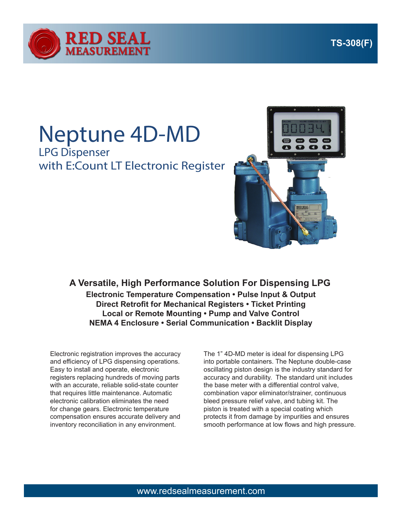

## Neptune 4D-MD LPG Dispenser with E:Count LT Electronic Register



**Electronic Temperature Compensation • Pulse Input & Output Direct Retrofit for Mechanical Registers • Ticket Printing Local or Remote Mounting • Pump and Valve Control NEMA 4 Enclosure • Serial Communication • Backlit Display A Versatile, High Performance Solution For Dispensing LPG**

Electronic registration improves the accuracy and efficiency of LPG dispensing operations. Easy to install and operate, electronic registers replacing hundreds of moving parts with an accurate, reliable solid-state counter that requires little maintenance. Automatic electronic calibration eliminates the need for change gears. Electronic temperature compensation ensures accurate delivery and inventory reconciliation in any environment.

The 1" 4D-MD meter is ideal for dispensing LPG into portable containers. The Neptune double-case oscillating piston design is the industry standard for accuracy and durability. The standard unit includes the base meter with a differential control valve, combination vapor eliminator/strainer, continuous bleed pressure relief valve, and tubing kit. The piston is treated with a special coating which protects it from damage by impurities and ensures smooth performance at low flows and high pressure.